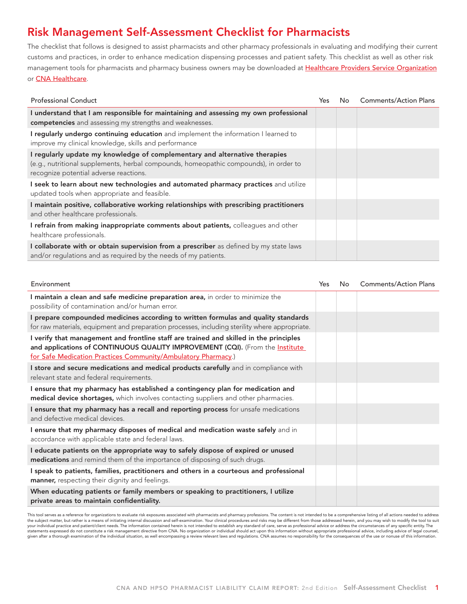## Risk Management Self-Assessment Checklist for Pharmacists

The checklist that follows is designed to assist pharmacists and other pharmacy professionals in evaluating and modifying their current customs and practices, in order to enhance medication dispensing processes and patient safety. This checklist as well as other risk management tools for pharmacists and pharmacy business owners may be downloaded at [Healthcare Providers Service Organization](http://www.hpso.com/) or [CNA Healthcare](http://www.cna.com/).

| <b>Professional Conduct</b>                                                                                                                                                                                   | Yes. | No. | <b>Comments/Action Plans</b> |
|---------------------------------------------------------------------------------------------------------------------------------------------------------------------------------------------------------------|------|-----|------------------------------|
| I understand that I am responsible for maintaining and assessing my own professional<br>competencies and assessing my strengths and weaknesses.                                                               |      |     |                              |
| I regularly undergo continuing education and implement the information I learned to<br>improve my clinical knowledge, skills and performance                                                                  |      |     |                              |
| I regularly update my knowledge of complementary and alternative therapies<br>(e.g., nutritional supplements, herbal compounds, homeopathic compounds), in order to<br>recognize potential adverse reactions. |      |     |                              |
| I seek to learn about new technologies and automated pharmacy practices and utilize<br>updated tools when appropriate and feasible.                                                                           |      |     |                              |
| I maintain positive, collaborative working relationships with prescribing practitioners<br>and other healthcare professionals.                                                                                |      |     |                              |
| I refrain from making inappropriate comments about patients, colleagues and other<br>healthcare professionals.                                                                                                |      |     |                              |
| I collaborate with or obtain supervision from a prescriber as defined by my state laws<br>and/or regulations and as required by the needs of my patients.                                                     |      |     |                              |

| Environment                                                                                                                                                                                                                              | Yes | No | <b>Comments/Action Plans</b> |
|------------------------------------------------------------------------------------------------------------------------------------------------------------------------------------------------------------------------------------------|-----|----|------------------------------|
| I maintain a clean and safe medicine preparation area, in order to minimize the<br>possibility of contamination and/or human error.                                                                                                      |     |    |                              |
| I prepare compounded medicines according to written formulas and quality standards<br>for raw materials, equipment and preparation processes, including sterility where appropriate.                                                     |     |    |                              |
| I verify that management and frontline staff are trained and skilled in the principles<br>and applications of CONTINUOUS QUALITY IMPROVEMENT (CQI). (From the Institute<br>for Safe Medication Practices Community/Ambulatory Pharmacy.) |     |    |                              |
| I store and secure medications and medical products carefully and in compliance with<br>relevant state and federal requirements.                                                                                                         |     |    |                              |
| I ensure that my pharmacy has established a contingency plan for medication and<br>medical device shortages, which involves contacting suppliers and other pharmacies.                                                                   |     |    |                              |
| I ensure that my pharmacy has a recall and reporting process for unsafe medications<br>and defective medical devices.                                                                                                                    |     |    |                              |
| I ensure that my pharmacy disposes of medical and medication waste safely and in<br>accordance with applicable state and federal laws.                                                                                                   |     |    |                              |
| I educate patients on the appropriate way to safely dispose of expired or unused<br>medications and remind them of the importance of disposing of such drugs.                                                                            |     |    |                              |
| I speak to patients, families, practitioners and others in a courteous and professional<br>manner, respecting their dignity and feelings.                                                                                                |     |    |                              |
| When educating patients or family members or speaking to practitioners, I utilize<br>private areas to maintain confidentiality.                                                                                                          |     |    |                              |

This tool serves as a reference for organizations to evaluate risk exposures associated with pharmacists and pharmacy professions. The content is not intended to be a comprehensive listing of all actions needed to address<br> statements expressed do not constitute a risk management directive from CNA. No organization or individual should act upon this information without appropriate professional advice, including advice of legal counsel,<br>given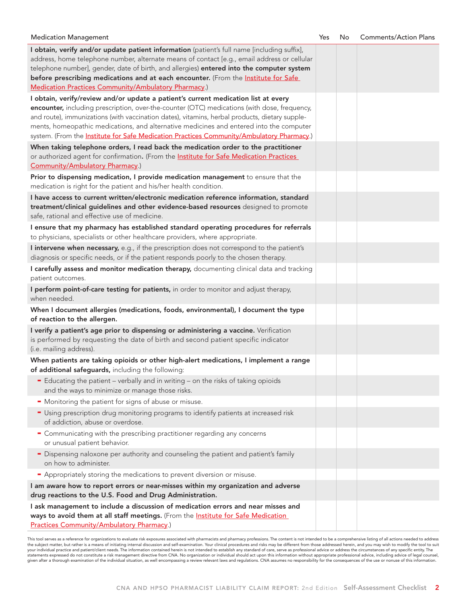| <b>Medication Management</b>                                                                                                                                                                                                                                                                                                                                                                                                                                                 | Yes | No | <b>Comments/Action Plans</b> |
|------------------------------------------------------------------------------------------------------------------------------------------------------------------------------------------------------------------------------------------------------------------------------------------------------------------------------------------------------------------------------------------------------------------------------------------------------------------------------|-----|----|------------------------------|
| I obtain, verify and/or update patient information (patient's full name [including suffix],<br>address, home telephone number, alternate means of contact [e.g., email address or cellular<br>telephone number], gender, date of birth, and allergies) entered into the computer system<br>before prescribing medications and at each encounter. (From the Institute for Safe<br>Medication Practices Community/Ambulatory Pharmacy.)                                        |     |    |                              |
| I obtain, verify/review and/or update a patient's current medication list at every<br>encounter, including prescription, over-the-counter (OTC) medications (with dose, frequency,<br>and route), immunizations (with vaccination dates), vitamins, herbal products, dietary supple-<br>ments, homeopathic medications, and alternative medicines and entered into the computer<br>system. (From the Institute for Safe Medication Practices Community/Ambulatory Pharmacy.) |     |    |                              |
| When taking telephone orders, I read back the medication order to the practitioner<br>or authorized agent for confirmation. (From the <b>Institute for Safe Medication Practices</b><br>Community/Ambulatory Pharmacy.)                                                                                                                                                                                                                                                      |     |    |                              |
| Prior to dispensing medication, I provide medication management to ensure that the<br>medication is right for the patient and his/her health condition.                                                                                                                                                                                                                                                                                                                      |     |    |                              |
| I have access to current written/electronic medication reference information, standard<br>treatment/clinical guidelines and other evidence-based resources designed to promote<br>safe, rational and effective use of medicine.                                                                                                                                                                                                                                              |     |    |                              |
| I ensure that my pharmacy has established standard operating procedures for referrals<br>to physicians, specialists or other healthcare providers, where appropriate.                                                                                                                                                                                                                                                                                                        |     |    |                              |
| I intervene when necessary, e.g., if the prescription does not correspond to the patient's<br>diagnosis or specific needs, or if the patient responds poorly to the chosen therapy.                                                                                                                                                                                                                                                                                          |     |    |                              |
| I carefully assess and monitor medication therapy, documenting clinical data and tracking<br>patient outcomes.                                                                                                                                                                                                                                                                                                                                                               |     |    |                              |
| I perform point-of-care testing for patients, in order to monitor and adjust therapy,<br>when needed.                                                                                                                                                                                                                                                                                                                                                                        |     |    |                              |
| When I document allergies (medications, foods, environmental), I document the type<br>of reaction to the allergen.                                                                                                                                                                                                                                                                                                                                                           |     |    |                              |
| I verify a patient's age prior to dispensing or administering a vaccine. Verification<br>is performed by requesting the date of birth and second patient specific indicator<br>(i.e. mailing address).                                                                                                                                                                                                                                                                       |     |    |                              |
| When patients are taking opioids or other high-alert medications, I implement a range<br>of additional safeguards, including the following:                                                                                                                                                                                                                                                                                                                                  |     |    |                              |
| - Educating the patient - verbally and in writing - on the risks of taking opioids<br>and the ways to minimize or manage those risks.                                                                                                                                                                                                                                                                                                                                        |     |    |                              |
| • Monitoring the patient for signs of abuse or misuse.                                                                                                                                                                                                                                                                                                                                                                                                                       |     |    |                              |
| - Using prescription drug monitoring programs to identify patients at increased risk<br>of addiction, abuse or overdose.                                                                                                                                                                                                                                                                                                                                                     |     |    |                              |
| • Communicating with the prescribing practitioner regarding any concerns<br>or unusual patient behavior.                                                                                                                                                                                                                                                                                                                                                                     |     |    |                              |
| - Dispensing naloxone per authority and counseling the patient and patient's family<br>on how to administer.                                                                                                                                                                                                                                                                                                                                                                 |     |    |                              |
| - Appropriately storing the medications to prevent diversion or misuse.                                                                                                                                                                                                                                                                                                                                                                                                      |     |    |                              |
| I am aware how to report errors or near-misses within my organization and adverse                                                                                                                                                                                                                                                                                                                                                                                            |     |    |                              |
| drug reactions to the U.S. Food and Drug Administration.                                                                                                                                                                                                                                                                                                                                                                                                                     |     |    |                              |
| I ask management to include a discussion of medication errors and near misses and<br>ways to avoid them at all staff meetings. (From the Institute for Safe Medication<br><b>Practices Community/Ambulatory Pharmacy.)</b>                                                                                                                                                                                                                                                   |     |    |                              |

This tool serves as a reference for organizations to evaluate risk exposures associated with pharmacists and pharmacy professions. The content is not intended to be a comprehensive listing of all actions needed to address<br>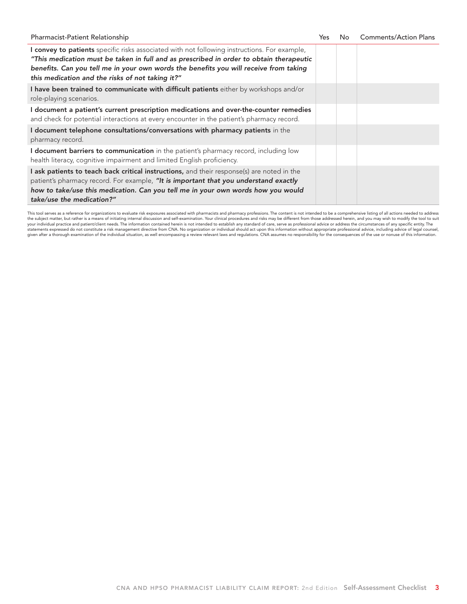| Pharmacist-Patient Relationship                                                                                                                                                                                                                                                                                                      | Yes | No | <b>Comments/Action Plans</b> |
|--------------------------------------------------------------------------------------------------------------------------------------------------------------------------------------------------------------------------------------------------------------------------------------------------------------------------------------|-----|----|------------------------------|
| I convey to patients specific risks associated with not following instructions. For example,<br>"This medication must be taken in full and as prescribed in order to obtain therapeutic<br>benefits. Can you tell me in your own words the benefits you will receive from taking<br>this medication and the risks of not taking it?" |     |    |                              |
| I have been trained to communicate with difficult patients either by workshops and/or<br>role-playing scenarios.                                                                                                                                                                                                                     |     |    |                              |
| I document a patient's current prescription medications and over-the-counter remedies<br>and check for potential interactions at every encounter in the patient's pharmacy record.                                                                                                                                                   |     |    |                              |
| I document telephone consultations/conversations with pharmacy patients in the<br>pharmacy record.                                                                                                                                                                                                                                   |     |    |                              |
| I document barriers to communication in the patient's pharmacy record, including low<br>health literacy, cognitive impairment and limited English proficiency.                                                                                                                                                                       |     |    |                              |
| I ask patients to teach back critical instructions, and their response(s) are noted in the<br>patient's pharmacy record. For example, "It is important that you understand exactly<br>how to take/use this medication. Can you tell me in your own words how you would<br>take/use the medication?"                                  |     |    |                              |

This tool serves as a reference for organizations to evaluate risk exposures associated with pharmacists and pharmacy professions. The content is not intended to be a comprehensive listing of all actions needed to address the subject matter, but rather is a means of initiating internal discussion and self-examination. Your clinical procedures and risks may be different from those addressed herein, and you may wish to modify the tool to suit statements expressed do not constitute a risk management directive from CNA. No organization or individual should act upon this information without appropriate professional advice, including advice of legal counsel, given after a thorough examination of the individual situation, as well encompassing a review relevant laws and regulations. CNA assumes no responsibility for the consequences of the use or nonuse of this information.